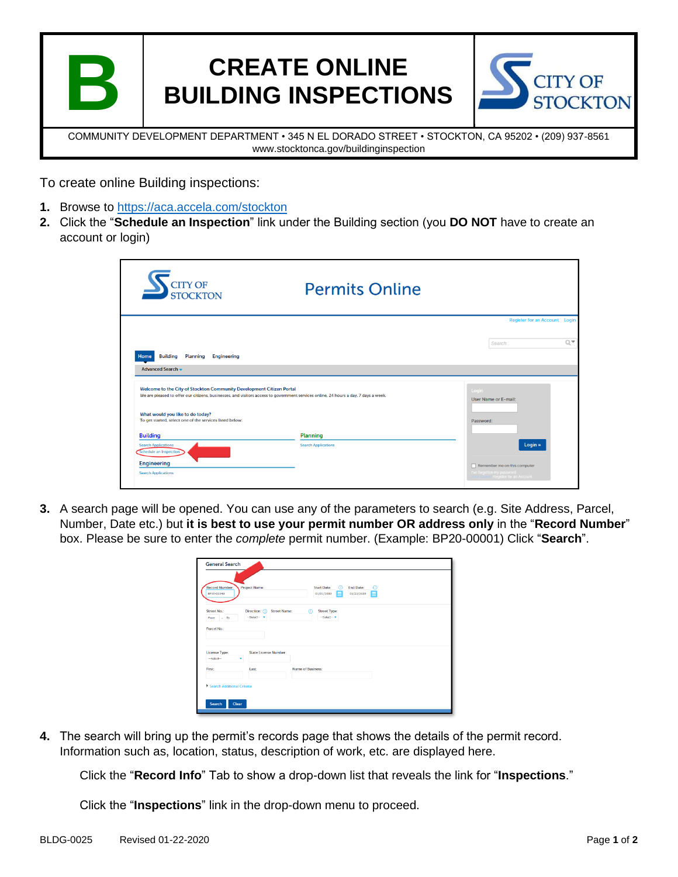

# **CREATE ONLINE BUILDING INSPECTIONS**



COMMUNITY DEVELOPMENT DEPARTMENT • 345 N EL DORADO STREET • STOCKTON, CA 95202 • (209) 937-8561 www.stocktonca.gov/buildinginspection

To create online Building inspections:

- **1.** Browse to<https://aca.accela.com/stockton>
- **2.** Click the "**Schedule an Inspection**" link under the Building section (you **DO NOT** have to create an account or login)

| <b>CITY OF<br/>STOCKTON</b>                                                                                                                                                                                 | <b>Permits Online</b>      |           |                                                                                       |      |
|-------------------------------------------------------------------------------------------------------------------------------------------------------------------------------------------------------------|----------------------------|-----------|---------------------------------------------------------------------------------------|------|
|                                                                                                                                                                                                             |                            |           | Register for an Account Login                                                         |      |
|                                                                                                                                                                                                             |                            |           | Search                                                                                | Q, Y |
| <b>Building Planning</b><br><b>Engineering</b><br>Home                                                                                                                                                      |                            |           |                                                                                       |      |
| Advanced Search -                                                                                                                                                                                           |                            |           |                                                                                       |      |
| Welcome to the City of Stockton Community Development Citizen Portal<br>We are pleased to offer our citizens, businesses, and visitors access to government services online, 24 hours a day, 7 days a week. |                            | Login     | <b>User Name or E-mail:</b>                                                           |      |
| What would you like to do today?<br>To get started, select one of the services listed below:                                                                                                                |                            | Password: |                                                                                       |      |
| <b>Building</b>                                                                                                                                                                                             | <b>Planning</b>            |           |                                                                                       |      |
| <b>Search Applications</b><br>Schedule an Inspection<br><b>Engineering</b>                                                                                                                                  | <b>Search Applications</b> |           | Login »                                                                               |      |
| <b>Search Applications</b>                                                                                                                                                                                  |                            |           | Remember me on this computer<br>I've forgotten my password<br>Register for an Account |      |

**3.** A search page will be opened. You can use any of the parameters to search (e.g. Site Address, Parcel, Number, Date etc.) but **it is best to use your permit number OR address only** in the "**Record Number**" box. Please be sure to enter the *complete* permit number. (Example: BP20-00001) Click "**Search**".

| <b>Record Number:</b><br>BP19-01040     | Project Name:                     | End Date:<br><b>Start Date:</b><br>ര<br>ത<br>E<br>01/01/2000<br>01/22/2020<br>E |
|-----------------------------------------|-----------------------------------|---------------------------------------------------------------------------------|
| Street No.:<br>From - To<br>Parcel No.: | Direction: (?)<br>--Select- v     | $\varpi$<br><b>Street Type:</b><br><b>Street Name:</b><br>$-Select - w$         |
| <b>License Type:</b><br>$-$ Salact $-$  | <b>State License Number:</b><br>٠ |                                                                                 |
| <b>First:</b>                           | Last:                             | Name of Business:                                                               |

**4.** The search will bring up the permit's records page that shows the details of the permit record. Information such as, location, status, description of work, etc. are displayed here.

Click the "**Record Info**" Tab to show a drop-down list that reveals the link for "**Inspections**."

Click the "**Inspections**" link in the drop-down menu to proceed.